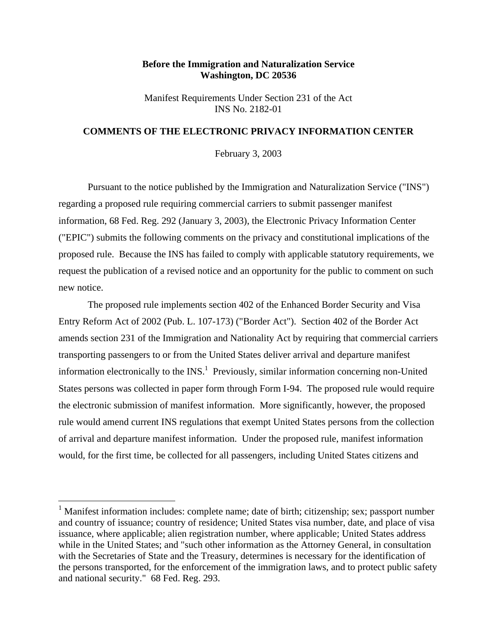# **Before the Immigration and Naturalization Service Washington, DC 20536**

Manifest Requirements Under Section 231 of the Act INS No. 2182-01

## **COMMENTS OF THE ELECTRONIC PRIVACY INFORMATION CENTER**

February 3, 2003

Pursuant to the notice published by the Immigration and Naturalization Service ("INS") regarding a proposed rule requiring commercial carriers to submit passenger manifest information, 68 Fed. Reg. 292 (January 3, 2003), the Electronic Privacy Information Center ("EPIC") submits the following comments on the privacy and constitutional implications of the proposed rule. Because the INS has failed to comply with applicable statutory requirements, we request the publication of a revised notice and an opportunity for the public to comment on such new notice.

The proposed rule implements section 402 of the Enhanced Border Security and Visa Entry Reform Act of 2002 (Pub. L. 107-173) ("Border Act"). Section 402 of the Border Act amends section 231 of the Immigration and Nationality Act by requiring that commercial carriers transporting passengers to or from the United States deliver arrival and departure manifest information electronically to the  $INS<sup>1</sup>$  Previously, similar information concerning non-United States persons was collected in paper form through Form I-94. The proposed rule would require the electronic submission of manifest information. More significantly, however, the proposed rule would amend current INS regulations that exempt United States persons from the collection of arrival and departure manifest information. Under the proposed rule, manifest information would, for the first time, be collected for all passengers, including United States citizens and

l

<sup>&</sup>lt;sup>1</sup> Manifest information includes: complete name; date of birth; citizenship; sex; passport number and country of issuance; country of residence; United States visa number, date, and place of visa issuance, where applicable; alien registration number, where applicable; United States address while in the United States; and "such other information as the Attorney General, in consultation with the Secretaries of State and the Treasury, determines is necessary for the identification of the persons transported, for the enforcement of the immigration laws, and to protect public safety and national security." 68 Fed. Reg. 293.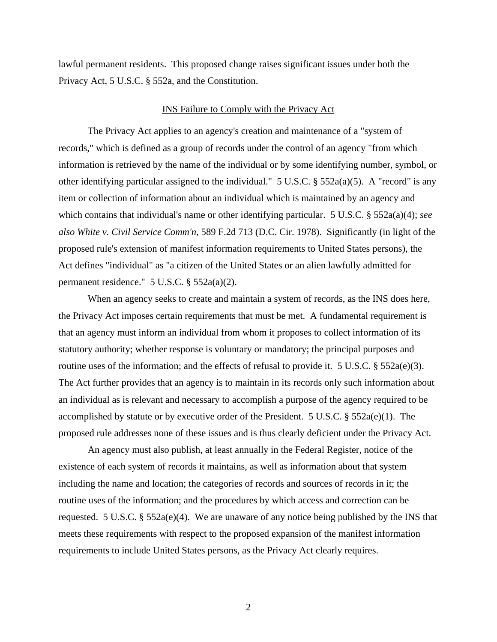lawful permanent residents. This proposed change raises significant issues under both the Privacy Act, 5 U.S.C. § 552a, and the Constitution.

#### INS Failure to Comply with the Privacy Act

The Privacy Act applies to an agency's creation and maintenance of a "system of records," which is defined as a group of records under the control of an agency "from which information is retrieved by the name of the individual or by some identifying number, symbol, or other identifying particular assigned to the individual." 5 U.S.C. § 552a(a)(5). A "record" is any item or collection of information about an individual which is maintained by an agency and which contains that individual's name or other identifying particular. 5 U.S.C. § 552a(a)(4); *see also White v. Civil Service Comm'n*, 589 F.2d 713 (D.C. Cir. 1978). Significantly (in light of the proposed rule's extension of manifest information requirements to United States persons), the Act defines "individual" as "a citizen of the United States or an alien lawfully admitted for permanent residence." 5 U.S.C. § 552a(a)(2).

When an agency seeks to create and maintain a system of records, as the INS does here, the Privacy Act imposes certain requirements that must be met. A fundamental requirement is that an agency must inform an individual from whom it proposes to collect information of its statutory authority; whether response is voluntary or mandatory; the principal purposes and routine uses of the information; and the effects of refusal to provide it. 5 U.S.C. § 552a(e)(3). The Act further provides that an agency is to maintain in its records only such information about an individual as is relevant and necessary to accomplish a purpose of the agency required to be accomplished by statute or by executive order of the President. 5 U.S.C. § 552a(e)(1). The proposed rule addresses none of these issues and is thus clearly deficient under the Privacy Act.

An agency must also publish, at least annually in the Federal Register, notice of the existence of each system of records it maintains, as well as information about that system including the name and location; the categories of records and sources of records in it; the routine uses of the information; and the procedures by which access and correction can be requested. 5 U.S.C. § 552a(e)(4). We are unaware of any notice being published by the INS that meets these requirements with respect to the proposed expansion of the manifest information requirements to include United States persons, as the Privacy Act clearly requires.

2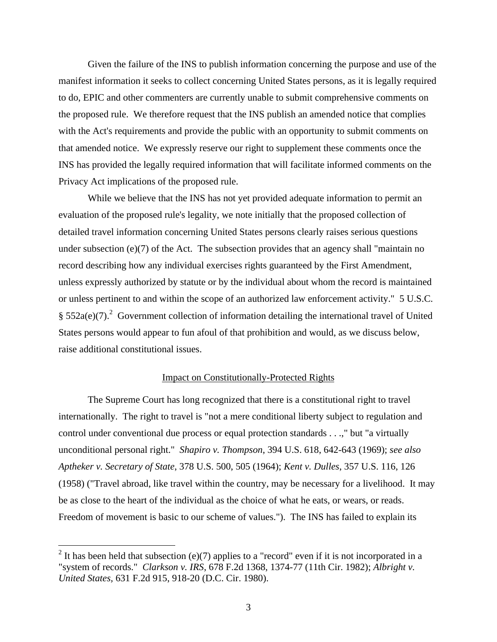Given the failure of the INS to publish information concerning the purpose and use of the manifest information it seeks to collect concerning United States persons, as it is legally required to do, EPIC and other commenters are currently unable to submit comprehensive comments on the proposed rule. We therefore request that the INS publish an amended notice that complies with the Act's requirements and provide the public with an opportunity to submit comments on that amended notice. We expressly reserve our right to supplement these comments once the INS has provided the legally required information that will facilitate informed comments on the Privacy Act implications of the proposed rule.

While we believe that the INS has not yet provided adequate information to permit an evaluation of the proposed rule's legality, we note initially that the proposed collection of detailed travel information concerning United States persons clearly raises serious questions under subsection (e)(7) of the Act. The subsection provides that an agency shall "maintain no record describing how any individual exercises rights guaranteed by the First Amendment, unless expressly authorized by statute or by the individual about whom the record is maintained or unless pertinent to and within the scope of an authorized law enforcement activity." 5 U.S.C. §  $552a(e)(7)$ .<sup>2</sup> Government collection of information detailing the international travel of United States persons would appear to fun afoul of that prohibition and would, as we discuss below, raise additional constitutional issues.

## Impact on Constitutionally-Protected Rights

The Supreme Court has long recognized that there is a constitutional right to travel internationally. The right to travel is "not a mere conditional liberty subject to regulation and control under conventional due process or equal protection standards . . .," but "a virtually unconditional personal right." *Shapiro v. Thompson*, 394 U.S. 618, 642-643 (1969); *see also Aptheker v. Secretary of State*, 378 U.S. 500, 505 (1964); *Kent v. Dulles*, 357 U.S. 116, 126 (1958) ("Travel abroad, like travel within the country, may be necessary for a livelihood. It may be as close to the heart of the individual as the choice of what he eats, or wears, or reads. Freedom of movement is basic to our scheme of values."). The INS has failed to explain its

l

<sup>&</sup>lt;sup>2</sup> It has been held that subsection (e)(7) applies to a "record" even if it is not incorporated in a "system of records." *Clarkson v. IRS*, 678 F.2d 1368, 1374-77 (11th Cir. 1982); *Albright v. United States,* 631 F.2d 915, 918-20 (D.C. Cir. 1980).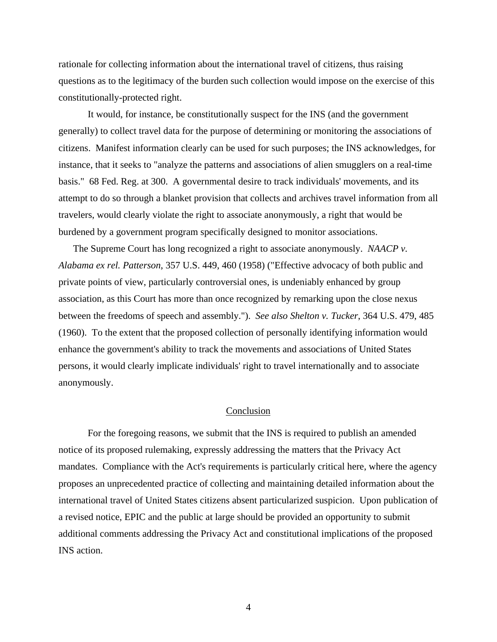rationale for collecting information about the international travel of citizens, thus raising questions as to the legitimacy of the burden such collection would impose on the exercise of this constitutionally-protected right.

It would, for instance, be constitutionally suspect for the INS (and the government generally) to collect travel data for the purpose of determining or monitoring the associations of citizens. Manifest information clearly can be used for such purposes; the INS acknowledges, for instance, that it seeks to "analyze the patterns and associations of alien smugglers on a real-time basis." 68 Fed. Reg. at 300. A governmental desire to track individuals' movements, and its attempt to do so through a blanket provision that collects and archives travel information from all travelers, would clearly violate the right to associate anonymously, a right that would be burdened by a government program specifically designed to monitor associations.

The Supreme Court has long recognized a right to associate anonymously. *NAACP v. Alabama ex rel. Patterson*, 357 U.S. 449, 460 (1958) ("Effective advocacy of both public and private points of view, particularly controversial ones, is undeniably enhanced by group association, as this Court has more than once recognized by remarking upon the close nexus between the freedoms of speech and assembly."). *See also Shelton v. Tucker*, 364 U.S. 479, 485 (1960). To the extent that the proposed collection of personally identifying information would enhance the government's ability to track the movements and associations of United States persons, it would clearly implicate individuals' right to travel internationally and to associate anonymously.

#### Conclusion

For the foregoing reasons, we submit that the INS is required to publish an amended notice of its proposed rulemaking, expressly addressing the matters that the Privacy Act mandates. Compliance with the Act's requirements is particularly critical here, where the agency proposes an unprecedented practice of collecting and maintaining detailed information about the international travel of United States citizens absent particularized suspicion. Upon publication of a revised notice, EPIC and the public at large should be provided an opportunity to submit additional comments addressing the Privacy Act and constitutional implications of the proposed INS action.

4